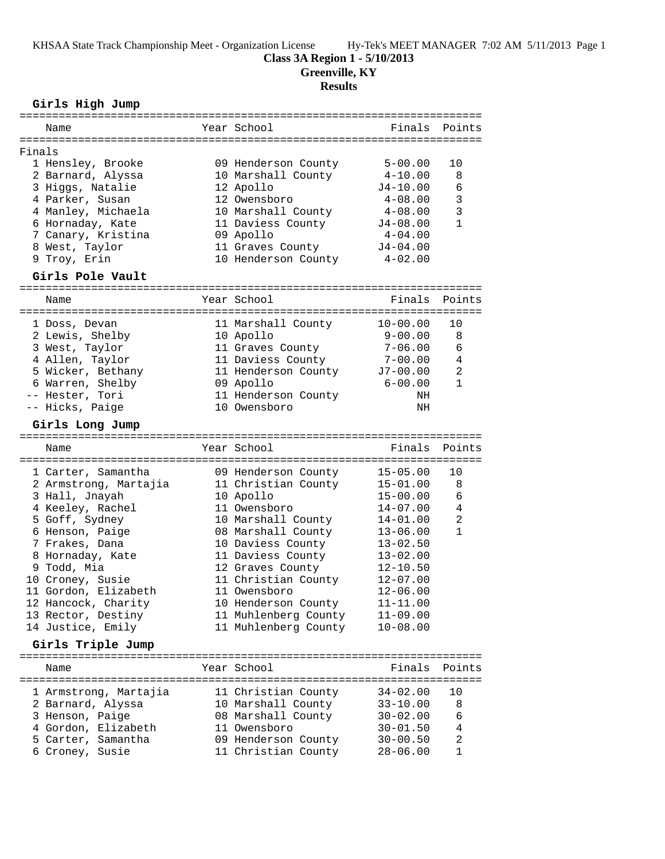KHSAA State Track Championship Meet - Organization License Hy-Tek's MEET MANAGER 7:02 AM 5/11/2013 Page 1

**Class 3A Region 1 - 5/10/2013**

**Greenville, KY**

# **Results**

# **Girls High Jump**

| ============<br>===============                    |  |                                            |                              |                                |  |  |  |
|----------------------------------------------------|--|--------------------------------------------|------------------------------|--------------------------------|--|--|--|
| Name                                               |  | Year School                                | Finals                       | Points                         |  |  |  |
|                                                    |  |                                            |                              |                                |  |  |  |
| Finals                                             |  |                                            |                              |                                |  |  |  |
| 1 Hensley, Brooke                                  |  | 09 Henderson County                        | $5 - 00.00$                  | 10                             |  |  |  |
| 2 Barnard, Alyssa                                  |  | 10 Marshall County                         | $4 - 10.00$                  | 8                              |  |  |  |
| 3 Higgs, Natalie                                   |  | 12 Apollo                                  | $J4 - 10.00$                 | 6                              |  |  |  |
| 4 Parker, Susan                                    |  | 12 Owensboro                               | $4 - 08.00$                  | 3                              |  |  |  |
| 4 Manley, Michaela                                 |  | 10 Marshall County                         | $4 - 08.00$                  | 3                              |  |  |  |
| 6 Hornaday, Kate                                   |  | 11 Daviess County                          | $J4 - 08.00$                 | $\mathbf{1}$                   |  |  |  |
| 7 Canary, Kristina                                 |  | 09 Apollo                                  | $4 - 04.00$                  |                                |  |  |  |
| 8 West, Taylor                                     |  | 11 Graves County                           | $J4 - 04.00$                 |                                |  |  |  |
| 9 Troy, Erin                                       |  | 10 Henderson County                        | $4 - 02.00$                  |                                |  |  |  |
| Girls Pole Vault                                   |  |                                            |                              |                                |  |  |  |
|                                                    |  |                                            |                              |                                |  |  |  |
| Name                                               |  | Year School                                | Finals                       | Points                         |  |  |  |
| 1 Doss, Devan                                      |  | 11 Marshall County                         | $10 - 00.00$                 | 10                             |  |  |  |
| 2 Lewis, Shelby                                    |  | 10 Apollo                                  | $9 - 00.00$                  | 8                              |  |  |  |
| 3 West, Taylor                                     |  | 11 Graves County                           | $7 - 06.00$                  | 6                              |  |  |  |
| 4 Allen, Taylor                                    |  | 11 Daviess County                          | $7 - 00.00$                  | 4                              |  |  |  |
| 5 Wicker, Bethany                                  |  | 11 Henderson County                        | $J7 - 00.00$                 | $\overline{a}$                 |  |  |  |
| 6 Warren, Shelby                                   |  | 09 Apollo                                  | $6 - 00.00$                  | $\mathbf{1}$                   |  |  |  |
| -- Hester, Tori                                    |  | 11 Henderson County                        | ΝH                           |                                |  |  |  |
| -- Hicks, Paige                                    |  | 10 Owensboro                               | NH                           |                                |  |  |  |
| Girls Long Jump                                    |  |                                            |                              |                                |  |  |  |
|                                                    |  |                                            |                              |                                |  |  |  |
|                                                    |  |                                            |                              |                                |  |  |  |
| Name                                               |  | Year School                                | Finals                       | Points                         |  |  |  |
|                                                    |  |                                            |                              |                                |  |  |  |
| 1 Carter, Samantha                                 |  | 09 Henderson County                        | $15 - 05.00$                 | 10<br>8                        |  |  |  |
| 2 Armstrong, Martajia                              |  | 11 Christian County                        | $15 - 01.00$                 | 6                              |  |  |  |
| 3 Hall, Jnayah                                     |  | 10 Apollo                                  | $15 - 00.00$                 |                                |  |  |  |
| 4 Keeley, Rachel                                   |  | 11 Owensboro                               | $14 - 07.00$                 | 4                              |  |  |  |
| 5 Goff, Sydney                                     |  | 10 Marshall County                         | 14-01.00<br>$13 - 06.00$     | $\overline{a}$<br>$\mathbf{1}$ |  |  |  |
| 6 Henson, Paige                                    |  | 08 Marshall County                         |                              |                                |  |  |  |
| 7 Frakes, Dana                                     |  | 10 Daviess County                          | $13 - 02.50$                 |                                |  |  |  |
| 8 Hornaday, Kate                                   |  | 11 Daviess County                          | $13 - 02.00$                 |                                |  |  |  |
| 9 Todd, Mia                                        |  | 12 Graves County                           | 12-10.50                     |                                |  |  |  |
| 10 Croney, Susie                                   |  | 11 Christian County                        | $12 - 07.00$                 |                                |  |  |  |
| 11 Gordon, Elizabeth                               |  | 11 Owensboro                               | $12 - 06.00$                 |                                |  |  |  |
| 12 Hancock, Charity                                |  | 10 Henderson County                        | $11 - 11.00$                 |                                |  |  |  |
| 13 Rector, Destiny                                 |  | 11 Muhlenberg County                       | $11 - 09.00$                 |                                |  |  |  |
| 14 Justice, Emily                                  |  | 11 Muhlenberg County                       | $10 - 08.00$                 |                                |  |  |  |
| Girls Triple Jump<br>============================= |  | ====================================       |                              |                                |  |  |  |
| Name                                               |  | Year School                                | Finals                       | Points                         |  |  |  |
|                                                    |  |                                            |                              |                                |  |  |  |
| 1 Armstrong, Martajia                              |  | 11 Christian County                        | $34 - 02.00$                 | 10                             |  |  |  |
| 2 Barnard, Alyssa                                  |  | 10 Marshall County                         | $33 - 10.00$                 | 8                              |  |  |  |
| 3 Henson, Paige                                    |  | 08 Marshall County                         | $30 - 02.00$                 | 6                              |  |  |  |
| 4 Gordon, Elizabeth                                |  | 11 Owensboro                               | $30 - 01.50$                 | 4                              |  |  |  |
| 5 Carter, Samantha<br>6 Croney, Susie              |  | 09 Henderson County<br>11 Christian County | $30 - 00.50$<br>$28 - 06.00$ | 2<br>$\mathbf{1}$              |  |  |  |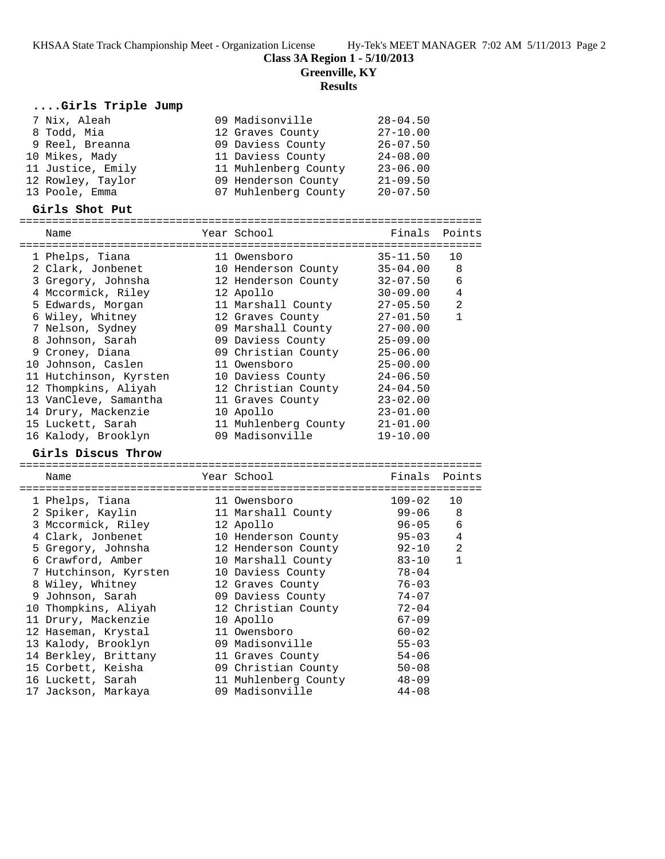KHSAA State Track Championship Meet - Organization License Hy-Tek's MEET MANAGER 7:02 AM 5/11/2013 Page 2

**Class 3A Region 1 - 5/10/2013**

**Greenville, KY**

#### **Results**

## **....Girls Triple Jump**

| 7 Nix, Aleah      | 09 Madisonville      | $28 - 04.50$ |
|-------------------|----------------------|--------------|
| 8 Todd, Mia       | 12 Graves County     | $27 - 10.00$ |
| 9 Reel, Breanna   | 09 Daviess County    | $26 - 07.50$ |
| 10 Mikes, Mady    | 11 Daviess County    | $24 - 08.00$ |
| 11 Justice, Emily | 11 Muhlenberg County | $23 - 06.00$ |
| 12 Rowley, Taylor | 09 Henderson County  | $21 - 09.50$ |
| 13 Poole, Emma    | 07 Muhlenberg County | $20 - 07.50$ |

#### **Girls Shot Put**

======================================================================= Name The Year School The Finals Points ======================================================================= 1 Phelps, Tiana 11 Owensboro 35-11.50 10 2 Clark, Jonbenet 10 Henderson County 35-04.00 8 3 Gregory, Johnsha 12 Henderson County 32-07.50 6 4 Mccormick, Riley 12 Apollo 30-09.00 4 5 Edwards, Morgan 11 Marshall County 27-05.50 2 6 Wiley, Whitney 12 Graves County 27-01.50 1 7 Nelson, Sydney 09 Marshall County 27-00.00 8 Johnson, Sarah 09 Daviess County 25-09.00 9 Croney, Diana 09 Christian County 25-06.00 10 Johnson, Caslen 11 Owensboro 25-00.00 11 Hutchinson, Kyrsten 10 Daviess County 24-06.50 12 Thompkins, Aliyah 12 Christian County 24-04.50 13 VanCleve, Samantha 11 Graves County 23-02.00 14 Drury, Mackenzie 10 Apollo 23-01.00 15 Luckett, Sarah 11 Muhlenberg County 21-01.00 16 Kalody, Brooklyn 09 Madisonville 19-10.00

### **Girls Discus Throw**

======================================================================= Name Year School Finals Points ======================================================================= 1 Phelps, Tiana 11 Owensboro 109-02 10 2 Spiker, Kaylin 11 Marshall County 99-06 8 3 Mccormick, Riley 12 Apollo 96-05 6 4 Clark, Jonbenet 10 Henderson County 95-03 4 5 Gregory, Johnsha 12 Henderson County 92-10 2 6 Crawford, Amber 10 Marshall County 83-10 1 7 Hutchinson, Kyrsten 10 Daviess County 78-04 8 Wiley, Whitney 12 Graves County 76-03 9 Johnson, Sarah 09 Daviess County 74-07 10 Thompkins, Aliyah 12 Christian County 72-04 11 Drury, Mackenzie 10 Apollo 67-09 12 Haseman, Krystal 11 Owensboro 60-02 13 Kalody, Brooklyn 09 Madisonville 55-03 14 Berkley, Brittany 11 Graves County 54-06 15 Corbett, Keisha 09 Christian County 50-08 16 Luckett, Sarah 11 Muhlenberg County 48-09 17 Jackson, Markaya 09 Madisonville 44-08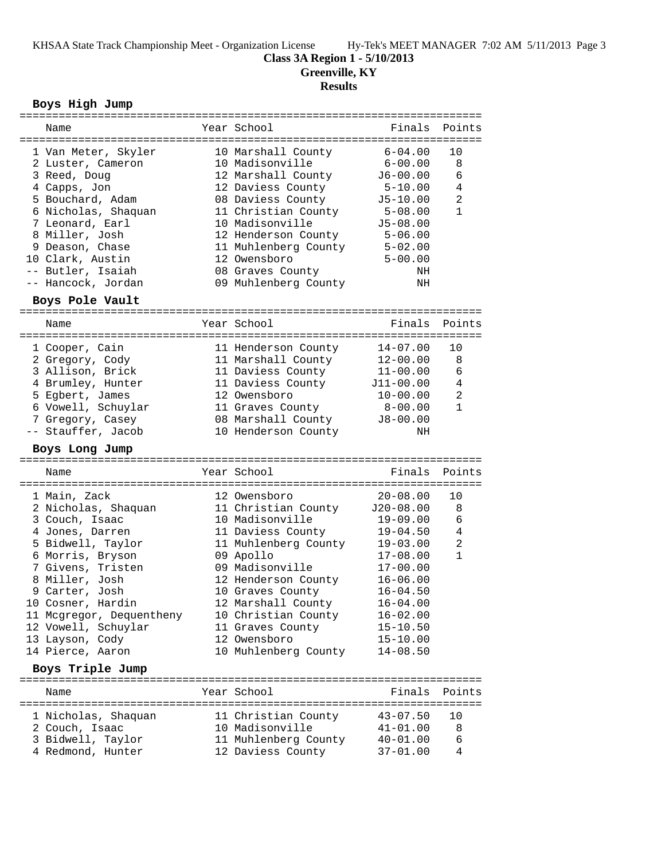**Class 3A Region 1 - 5/10/2013**

**Greenville, KY**

# **Results**

# **Boys High Jump**

| ===========================                   |  |                                                  |              |                |  |  |  |
|-----------------------------------------------|--|--------------------------------------------------|--------------|----------------|--|--|--|
| Name                                          |  | Year School                                      | Finals       | Points         |  |  |  |
| 1 Van Meter, Skyler                           |  |                                                  | $6 - 04.00$  | 10             |  |  |  |
| 2 Luster, Cameron                             |  | 10 Marshall County<br>10 Madisonville            | $6 - 00.00$  | 8              |  |  |  |
| 3 Reed, Doug                                  |  | 12 Marshall County                               | J6-00.00     | 6              |  |  |  |
| 4 Capps, Jon                                  |  | 12 Daviess County                                | $5 - 10.00$  | 4              |  |  |  |
| 5 Bouchard, Adam                              |  | 08 Daviess County                                | $J5-10.00$   | $\overline{a}$ |  |  |  |
| 6 Nicholas, Shaquan                           |  | 11 Christian County                              | 5-08.00      | $\mathbf{1}$   |  |  |  |
| 7 Leonard, Earl                               |  | 10 Madisonville                                  | $J5 - 08.00$ |                |  |  |  |
| 8 Miller, Josh                                |  | 12 Henderson County                              | $5 - 06.00$  |                |  |  |  |
| 9 Deason, Chase                               |  | 11 Muhlenberg County                             | $5 - 02.00$  |                |  |  |  |
| 10 Clark, Austin                              |  | 12 Owensboro                                     | $5 - 00.00$  |                |  |  |  |
| -- Butler, Isaiah                             |  | 08 Graves County                                 | NH           |                |  |  |  |
| -- Hancock, Jordan                            |  | 09 Muhlenberg County                             | NH           |                |  |  |  |
| Boys Pole Vault                               |  |                                                  |              |                |  |  |  |
| Name                                          |  | Year School                                      | Finals       | Points         |  |  |  |
|                                               |  |                                                  |              |                |  |  |  |
| 1 Cooper, Cain                                |  | 11 Henderson County                              | $14 - 07.00$ | 10             |  |  |  |
| 2 Gregory, Cody                               |  | 11 Marshall County                               | $12 - 00.00$ | 8              |  |  |  |
| 3 Allison, Brick                              |  | 11 Daviess County                                | $11 - 00.00$ | 6              |  |  |  |
| 4 Brumley, Hunter                             |  | 11 Daviess County                                | J11-00.00    | 4              |  |  |  |
| 5 Egbert, James                               |  | 12 Owensboro                                     | $10 - 00.00$ | 2              |  |  |  |
| 6 Vowell, Schuylar                            |  | 11 Graves County                                 | $8 - 00.00$  | $\mathbf{1}$   |  |  |  |
| 7 Gregory, Casey                              |  | 08 Marshall County                               | $J8 - 00.00$ |                |  |  |  |
| -- Stauffer, Jacob                            |  | 10 Henderson County                              | ΝH           |                |  |  |  |
| Boys Long Jump                                |  |                                                  |              |                |  |  |  |
|                                               |  |                                                  |              |                |  |  |  |
|                                               |  |                                                  |              |                |  |  |  |
| Name                                          |  | Year School                                      | Finals       | Points         |  |  |  |
|                                               |  |                                                  |              | 10             |  |  |  |
| 1 Main, Zack                                  |  | 12 Owensboro                                     | $20 - 08.00$ | 8              |  |  |  |
| 2 Nicholas, Shaquan                           |  | 11 Christian County J20-08.00<br>10 Madisonville | $19 - 09.00$ | 6              |  |  |  |
| 3 Couch, Isaac<br>4 Jones, Darren             |  |                                                  | 19-04.50     | 4              |  |  |  |
|                                               |  | 11 Daviess County                                | $19 - 03.00$ | $\overline{2}$ |  |  |  |
| 5 Bidwell, Taylor                             |  | 11 Muhlenberg County                             | $17 - 08.00$ | $\mathbf{1}$   |  |  |  |
| 6 Morris, Bryson<br>7 Givens, Tristen         |  | 09 Apollo<br>09 Madisonville                     | $17 - 00.00$ |                |  |  |  |
| 8 Miller, Josh                                |  | 12 Henderson County                              | $16 - 06.00$ |                |  |  |  |
| 9 Carter, Josh                                |  | 10 Graves County                                 | $16 - 04.50$ |                |  |  |  |
|                                               |  |                                                  | $16 - 04.00$ |                |  |  |  |
| 10 Cosner, Hardin<br>11 Mcgregor, Dequentheny |  | 12 Marshall County<br>10 Christian County        | $16 - 02.00$ |                |  |  |  |
| 12 Vowell, Schuylar                           |  | 11 Graves County                                 | $15 - 10.50$ |                |  |  |  |
| 13 Layson, Cody                               |  | 12 Owensboro                                     | $15 - 10.00$ |                |  |  |  |
| 14 Pierce, Aaron                              |  | 10 Muhlenberg County                             | $14 - 08.50$ |                |  |  |  |
| Boys Triple Jump                              |  |                                                  |              |                |  |  |  |
|                                               |  |                                                  |              |                |  |  |  |
| Name                                          |  | Year School                                      | Finals       | Points         |  |  |  |
| 1 Nicholas, Shaquan                           |  |                                                  | $43 - 07.50$ | 10             |  |  |  |
| 2 Couch, Isaac                                |  | 11 Christian County<br>10 Madisonville           | $41 - 01.00$ | 8              |  |  |  |
| 3 Bidwell, Taylor                             |  | 11 Muhlenberg County                             | $40 - 01.00$ | 6              |  |  |  |